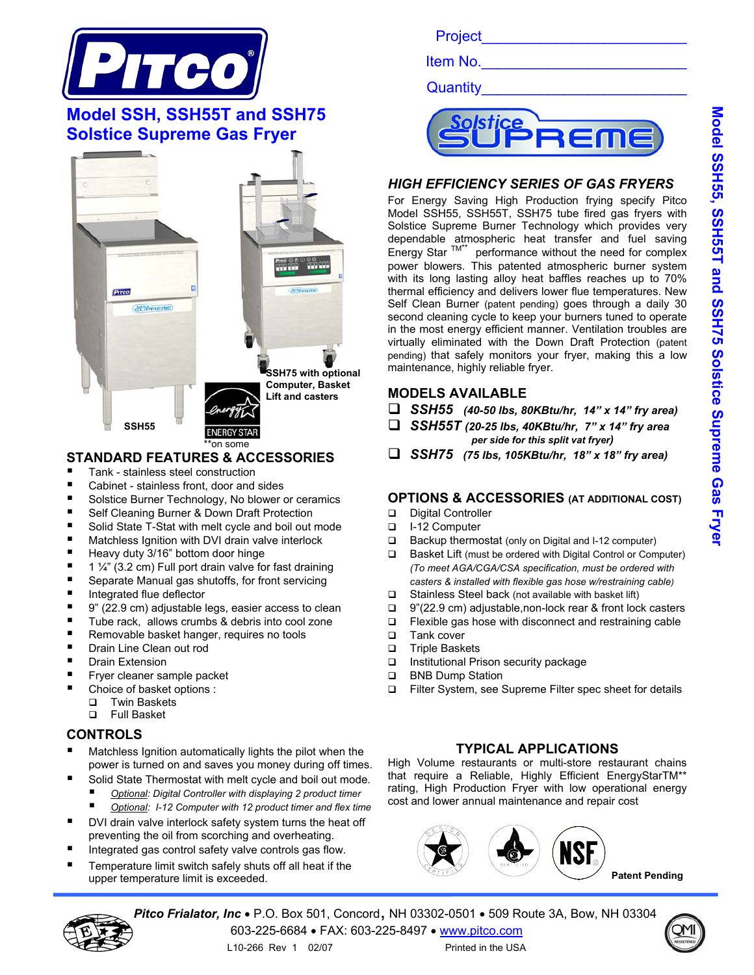

# **Model SSH, SSH55T and SSH75 Solstice Supreme Gas Fryer**



### **STANDARD FEATURES & ACCESSORIES**

- Tank stainless steel construction
- Cabinet stainless front, door and sides
- Solstice Burner Technology, No blower or ceramics
- Self Cleaning Burner & Down Draft Protection
- Solid State T-Stat with melt cycle and boil out mode
- **Matchless Ignition with DVI drain valve interlock**
- Heavy duty 3/16" bottom door hinge
- 1  $\frac{1}{4}$ " (3.2 cm) Full port drain valve for fast draining
- Separate Manual gas shutoffs, for front servicing
- Integrated flue deflector
- 9" (22.9 cm) adjustable legs, easier access to clean
- Tube rack, allows crumbs & debris into cool zone
- Removable basket hanger, requires no tools
- Drain Line Clean out rod
- Drain Extension
- Fryer cleaner sample packet
- Choice of basket options :
	- □ Twin Baskets
	- Full Basket

#### **CONTROLS**

- Matchless Ignition automatically lights the pilot when the power is turned on and saves you money during off times.
- Solid State Thermostat with melt cycle and boil out mode.
	- *Optional: Digital Controller with displaying 2 product timer*
	- *Optional: I-12 Computer with 12 product timer and flex time*
- DVI drain valve interlock safety system turns the heat off preventing the oil from scorching and overheating.
- Integrated gas control safety valve controls gas flow.
- Temperature limit switch safely shuts off all heat if the upper temperature limit is exceeded.

Project\_\_\_\_\_\_\_\_\_\_\_\_\_\_\_\_\_\_\_\_\_\_\_\_\_

Item No.

Quantity



#### *HIGH EFFICIENCY SERIES OF GAS FRYERS*

For Energy Saving High Production frying specify Pitco Model SSH55, SSH55T, SSH75 tube fired gas fryers with Solstice Supreme Burner Technology which provides very dependable atmospheric heat transfer and fuel saving Energy Star  $TM^*$  performance without the need for complex power blowers. This patented atmospheric burner system with its long lasting alloy heat baffles reaches up to 70% thermal efficiency and delivers lower flue temperatures. New Self Clean Burner (patent pending) goes through a daily 30 second cleaning cycle to keep your burners tuned to operate in the most energy efficient manner. Ventilation troubles are virtually eliminated with the Down Draft Protection (patent pending) that safely monitors your fryer, making this a low maintenance, highly reliable fryer.

#### **MODELS AVAILABLE**

- *SSH55 (40-50 lbs, 80KBtu/hr, 14" x 14" fry area)*
- *SSH55T (20-25 lbs, 40KBtu/hr, 7" x 14" fry area per side for this split vat fryer)*
- *SSH75 (75 lbs, 105KBtu/hr, 18" x 18" fry area)*

#### **OPTIONS & ACCESSORIES (AT ADDITIONAL COST)**

- Digital Controller
- I-12 Computer
- $\Box$  Backup thermostat (only on Digital and I-12 computer)
- Basket Lift (must be ordered with Digital Control or Computer) *(To meet AGA/CGA/CSA specification, must be ordered with casters & installed with flexible gas hose w/restraining cable)*
- $\Box$  Stainless Steel back (not available with basket lift)
- 9"(22.9 cm) adjustable,non-lock rear & front lock casters
- □ Flexible gas hose with disconnect and restraining cable
- □ Tank cover
- □ Triple Baskets
- □ Institutional Prison security package
- **BNB Dump Station**
- □ Filter System, see Supreme Filter spec sheet for details

#### **TYPICAL APPLICATIONS**

High Volume restaurants or multi-store restaurant chains that require a Reliable, Highly Efficient EnergyStarTM\*\* rating, High Production Fryer with low operational energy cost and lower annual maintenance and repair cost



**Patent Pending**

*Pitco Frialator, Inc* • P.O. Box 501, Concord, NH 03302-0501 • 509 Route 3A, Bow, NH 03304 603-225-6684 • FAX: 603-225-8497 • www.pitco.com





L10-266 Rev 1 02/07 Printed in the USA

Model SSH55, SSH55T and SSH75 Solstice Supreme Gas Frye **Model SSH55, SSH55T and SSH75 Solstice Supreme Gas Fryer**